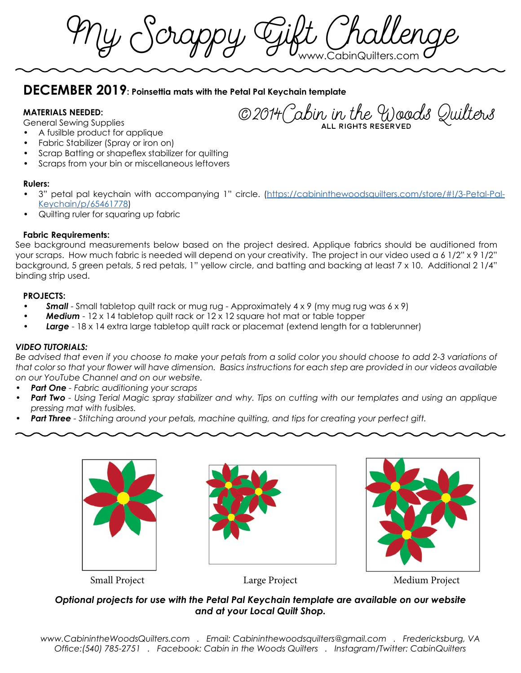$\mathcal{U}$  Scrappy Cjift

# **DECEMBER 2019: Poinsettia mats with the Petal Pal Keychain template**

### **MATERIALS NEEDED:**

General Sewing Supplies

©2014Cabin in the Woods Quilters all rights reserved

- A fusilble product for applique
- Fabric Stabilizer (Spray or iron on)
- Scrap Batting or shapeflex stabilizer for quilting
- Scraps from your bin or miscellaneous leftovers

#### **Rulers:**

- 3" petal pal keychain with accompanying 1" circle. ([https://cabininthewoodsquilters.com/store/#!/3-Petal-Pal-](https://cabininthewoodsquilters.com/store/#!/3-Petal-Pal-Keychain/p/65461778)[Keychain/p/65461778](https://cabininthewoodsquilters.com/store/#!/3-Petal-Pal-Keychain/p/65461778))
- Quilting ruler for squaring up fabric

#### **Fabric Requirements:**

See background measurements below based on the project desired. Applique fabrics should be auditioned from your scraps. How much fabric is needed will depend on your creativity. The project in our video used a 6 1/2" x 9 1/2" background, 5 green petals, 5 red petals, 1" yellow circle, and batting and backing at least 7 x 10. Additional 2 1/4" binding strip used.

#### **PROJECTS:**

- **Small** Small tabletop quilt rack or mug rug Approximately 4 x 9 (my mug rug was 6 x 9)
- *Medium* 12 x 14 tabletop quilt rack or 12 x 12 square hot mat or table topper
- *Large* 18 x 14 extra large tabletop quilt rack or placemat (extend length for a tablerunner)

## *VIDEO TUTORIALS:*

Be advised that even if you choose to make your petals from a solid color you should choose to add 2-3 variations of *that color so that your flower will have dimension. Basics instructions for each step are provided in our videos available on our YouTube Channel and on our website.* 

- *• Part One Fabric auditioning your scraps*
- *• Part Two Using Terial Magic spray stabilizer and why. Tips on cutting with our templates and using an applique pressing mat with fusibles.*
- *• Part Three Stitching around your petals, machine quilting, and tips for creating your perfect gift.*







Small Project Large Project Medium Project

# *Optional projects for use with the Petal Pal Keychain template are available on our website and at your Local Quilt Shop.*